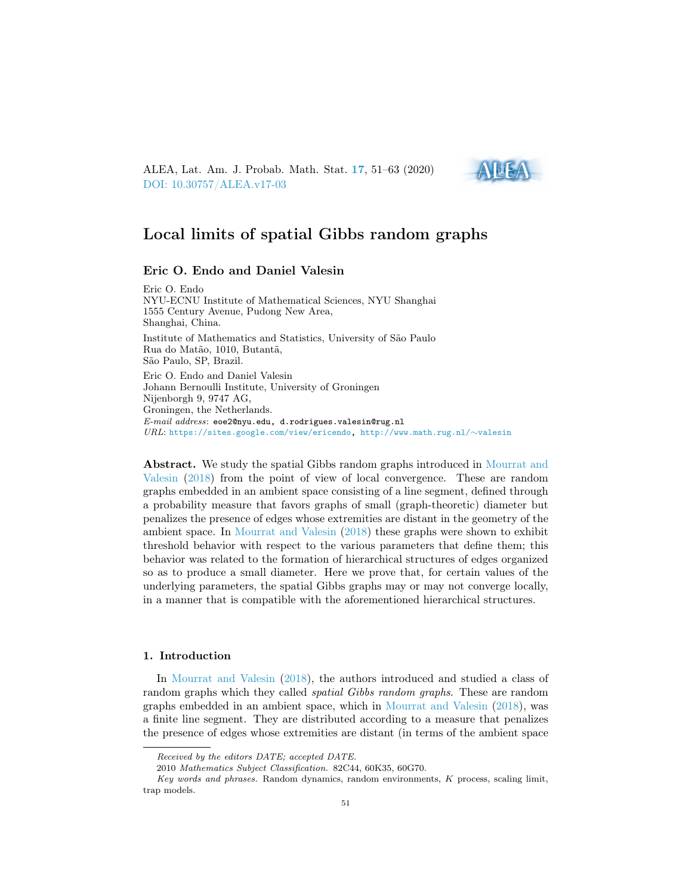<span id="page-0-0"></span>ALEA, Lat. Am. J. Probab. Math. Stat. [17](http://alea.impa.br/english/index_v17.htm), 51–63 (2020) [DOI: 10.30757/ALEA.v17-03](https://doi.org/10.30757/ALEA.v17-03)



# Local limits of spatial Gibbs random graphs

## Eric O. Endo and Daniel Valesin

Eric O. Endo NYU-ECNU Institute of Mathematical Sciences, NYU Shanghai 1555 Century Avenue, Pudong New Area, Shanghai, China. Institute of Mathematics and Statistics, University of São Paulo Rua do Matão, 1010, Butantã, São Paulo, SP, Brazil. Eric O. Endo and Daniel Valesin Johann Bernoulli Institute, University of Groningen Nijenborgh 9, 9747 AG, Groningen, the Netherlands. E-mail address: eoe2@nyu.edu, d.rodrigues.valesin@rug.nl URL: [https://sites.google.com/view/ericendo,](https://sites.google.com/view/ericendo) [http://www.math.rug.nl/](http://www.math.rug.nl/~valesin)∼valesin

Abstract. We study the spatial Gibbs random graphs introduced in [Mourrat and](#page-12-0) [Valesin](#page-12-0) [\(2018\)](#page-12-0) from the point of view of local convergence. These are random graphs embedded in an ambient space consisting of a line segment, defined through a probability measure that favors graphs of small (graph-theoretic) diameter but penalizes the presence of edges whose extremities are distant in the geometry of the ambient space. In [Mourrat and Valesin](#page-12-0) [\(2018\)](#page-12-0) these graphs were shown to exhibit threshold behavior with respect to the various parameters that define them; this behavior was related to the formation of hierarchical structures of edges organized so as to produce a small diameter. Here we prove that, for certain values of the underlying parameters, the spatial Gibbs graphs may or may not converge locally, in a manner that is compatible with the aforementioned hierarchical structures.

#### 1. Introduction

In [Mourrat and Valesin](#page-12-0) [\(2018\)](#page-12-0), the authors introduced and studied a class of random graphs which they called *spatial Gibbs random graphs*. These are random graphs embedded in an ambient space, which in [Mourrat and Valesin](#page-12-0) [\(2018\)](#page-12-0), was a finite line segment. They are distributed according to a measure that penalizes the presence of edges whose extremities are distant (in terms of the ambient space

Received by the editors DATE; accepted DATE.

<sup>2010</sup> Mathematics Subject Classification. 82C44, 60K35, 60G70.

Key words and phrases. Random dynamics, random environments, K process, scaling limit, trap models.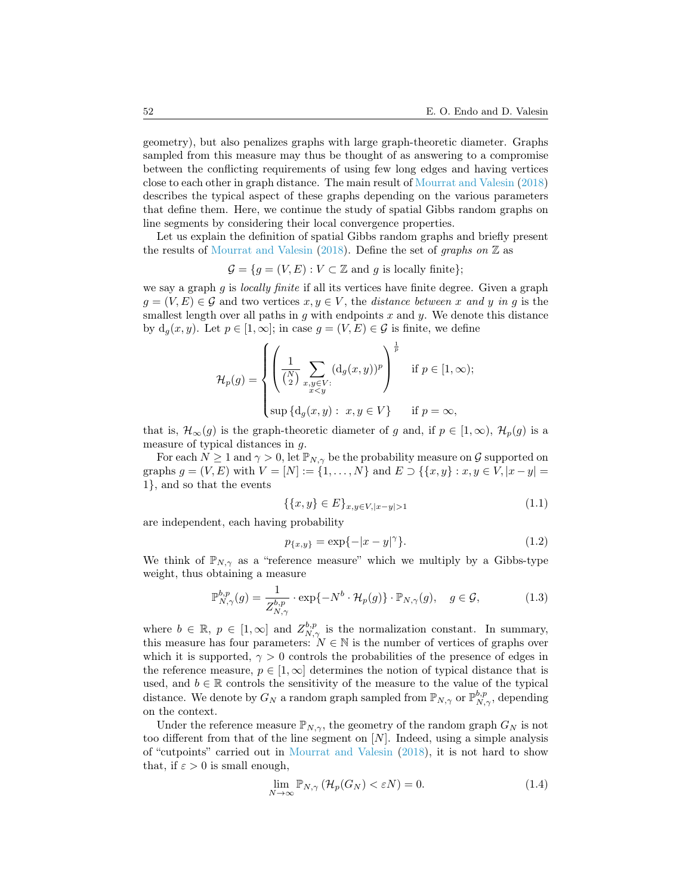geometry), but also penalizes graphs with large graph-theoretic diameter. Graphs sampled from this measure may thus be thought of as answering to a compromise between the conflicting requirements of using few long edges and having vertices close to each other in graph distance. The main result of [Mourrat and Valesin](#page-12-0) [\(2018\)](#page-12-0) describes the typical aspect of these graphs depending on the various parameters that define them. Here, we continue the study of spatial Gibbs random graphs on line segments by considering their local convergence properties.

Let us explain the definition of spatial Gibbs random graphs and briefly present the results of [Mourrat and Valesin](#page-12-0) [\(2018\)](#page-12-0). Define the set of graphs on  $\mathbb Z$  as

 $\mathcal{G} = \{q = (V, E) : V \subset \mathbb{Z} \text{ and } q \text{ is locally finite}\};$ 

we say a graph q is *locally finite* if all its vertices have finite degree. Given a graph  $g = (V, E) \in \mathcal{G}$  and two vertices  $x, y \in V$ , the distance between x and y in g is the smallest length over all paths in  $g$  with endpoints  $x$  and  $y$ . We denote this distance by  $d_g(x, y)$ . Let  $p \in [1, \infty]$ ; in case  $g = (V, E) \in \mathcal{G}$  is finite, we define

$$
\mathcal{H}_p(g) = \begin{cases} \left(\frac{1}{\binom{N}{2}} \sum_{\substack{x,y \in V:\\x
$$

that is,  $\mathcal{H}_{\infty}(g)$  is the graph-theoretic diameter of g and, if  $p \in [1,\infty)$ ,  $\mathcal{H}_p(g)$  is a measure of typical distances in g.

For each  $N \geq 1$  and  $\gamma > 0$ , let  $\mathbb{P}_{N,\gamma}$  be the probability measure on G supported on graphs  $g = (V, E)$  with  $V = [N] := \{1, ..., N\}$  and  $E \supset \{\{x, y\} : x, y \in V, |x - y| =$ 1}, and so that the events

<span id="page-1-0"></span>
$$
\{\{x,y\} \in E\}_{x,y \in V, |x-y| > 1}
$$
\n(1.1)

are independent, each having probability

<span id="page-1-1"></span>
$$
p_{\{x,y\}} = \exp\{-|x-y|^{\gamma}\}.
$$
\n(1.2)

We think of  $\mathbb{P}_{N,\gamma}$  as a "reference measure" which we multiply by a Gibbs-type weight, thus obtaining a measure

<span id="page-1-2"></span>
$$
\mathbb{P}_{N,\gamma}^{b,p}(g) = \frac{1}{Z_{N,\gamma}^{b,p}} \cdot \exp\{-N^b \cdot \mathcal{H}_p(g)\} \cdot \mathbb{P}_{N,\gamma}(g), \quad g \in \mathcal{G},\tag{1.3}
$$

where  $b \in \mathbb{R}$ ,  $p \in [1,\infty]$  and  $Z_{N,\gamma}^{b,p}$  is the normalization constant. In summary, this measure has four parameters:  $N \in \mathbb{N}$  is the number of vertices of graphs over which it is supported,  $\gamma > 0$  controls the probabilities of the presence of edges in the reference measure,  $p \in [1,\infty]$  determines the notion of typical distance that is used, and  $b \in \mathbb{R}$  controls the sensitivity of the measure to the value of the typical distance. We denote by  $G_N$  a random graph sampled from  $\mathbb{P}_{N,\gamma}$  or  $\mathbb{P}_{N,\gamma}^{b,p}$ , depending on the context.

Under the reference measure  $\mathbb{P}_{N,\gamma}$ , the geometry of the random graph  $G_N$  is not too different from that of the line segment on  $[N]$ . Indeed, using a simple analysis of "cutpoints" carried out in [Mourrat and Valesin](#page-12-0) [\(2018\)](#page-12-0), it is not hard to show that, if  $\varepsilon > 0$  is small enough,

$$
\lim_{N \to \infty} \mathbb{P}_{N,\gamma} \left( \mathcal{H}_p(G_N) < \varepsilon N \right) = 0. \tag{1.4}
$$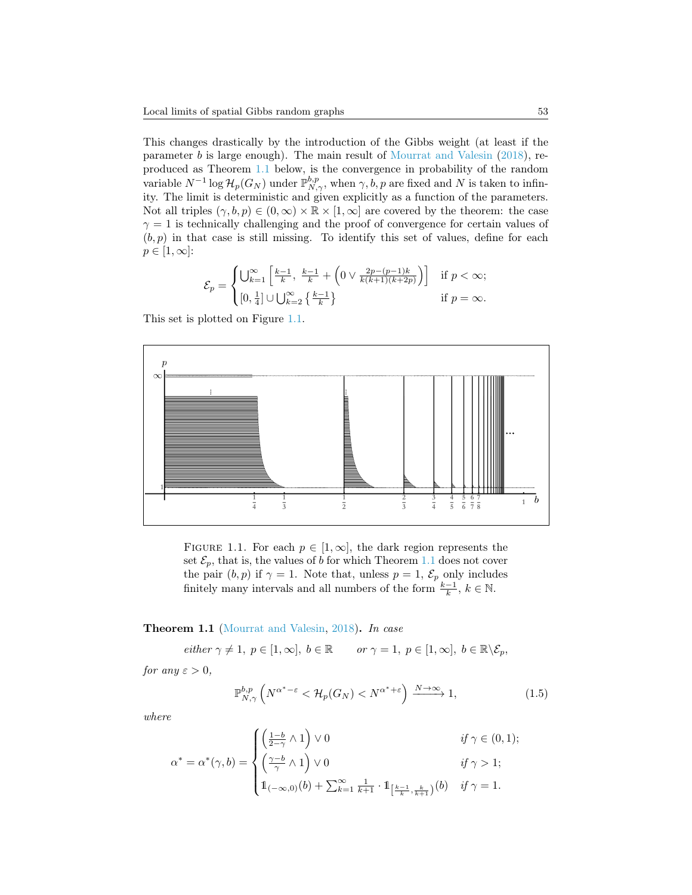This changes drastically by the introduction of the Gibbs weight (at least if the parameter b is large enough). The main result of [Mourrat and Valesin](#page-12-0) [\(2018\)](#page-12-0), reproduced as Theorem [1.1](#page-2-0) below, is the convergence in probability of the random variable  $N^{-1} \log \mathcal{H}_p(G_N)$  under  $\mathbb{P}_{N,\gamma}^{b,p}$ , when  $\gamma, b, p$  are fixed and N is taken to infinity. The limit is deterministic and given explicitly as a function of the parameters. Not all triples  $(\gamma, b, p) \in (0, \infty) \times \mathbb{R} \times [1, \infty]$  are covered by the theorem: the case  $\gamma = 1$  is technically challenging and the proof of convergence for certain values of  $(b, p)$  in that case is still missing. To identify this set of values, define for each  $p \in [1,\infty]$ :

$$
\mathcal{E}_p = \begin{cases} \bigcup_{k=1}^{\infty} \left[ \frac{k-1}{k}, \frac{k-1}{k} + \left( 0 \vee \frac{2p - (p-1)k}{k(k+1)(k+2p)} \right) \right] & \text{if } p < \infty; \\ [0, \frac{1}{4}] \cup \bigcup_{k=2}^{\infty} \left\{ \frac{k-1}{k} \right\} & \text{if } p = \infty. \end{cases}
$$

This set is plotted on Figure [1.1.](#page-2-1)



<span id="page-2-1"></span>FIGURE 1.1. For each  $p \in [1,\infty]$ , the dark region represents the set  $\mathcal{E}_p$ , that is, the values of b for which Theorem [1.1](#page-2-0) does not cover the pair  $(b, p)$  if  $\gamma = 1$ . Note that, unless  $p = 1$ ,  $\mathcal{E}_p$  only includes finitely many intervals and all numbers of the form  $\frac{k-1}{k}$ ,  $k \in \mathbb{N}$ .

## <span id="page-2-0"></span>Theorem 1.1 [\(Mourrat and Valesin,](#page-12-0) [2018\)](#page-12-0). In case

 $either \ \gamma \neq 1, \ p \in [1, \infty], \ b \in \mathbb{R}$  or  $\gamma = 1, \ p \in [1, \infty], \ b \in \mathbb{R} \backslash \mathcal{E}_p$ ,

for any  $\varepsilon > 0$ ,

$$
\mathbb{P}_{N,\gamma}^{b,p} \left( N^{\alpha^*-\varepsilon} < \mathcal{H}_p(G_N) < N^{\alpha^*+\varepsilon} \right) \xrightarrow{N \to \infty} 1,\tag{1.5}
$$

where

$$
\alpha^* = \alpha^*(\gamma, b) = \begin{cases} \left(\frac{1-b}{2-\gamma} \wedge 1\right) \vee 0 & \text{if } \gamma \in (0,1); \\ \left(\frac{\gamma-b}{\gamma} \wedge 1\right) \vee 0 & \text{if } \gamma > 1; \\ 1_{(-\infty,0)}(b) + \sum_{k=1}^{\infty} \frac{1}{k+1} \cdot 1_{\left[\frac{k-1}{k}, \frac{k}{k+1}\right)}(b) & \text{if } \gamma = 1. \end{cases}
$$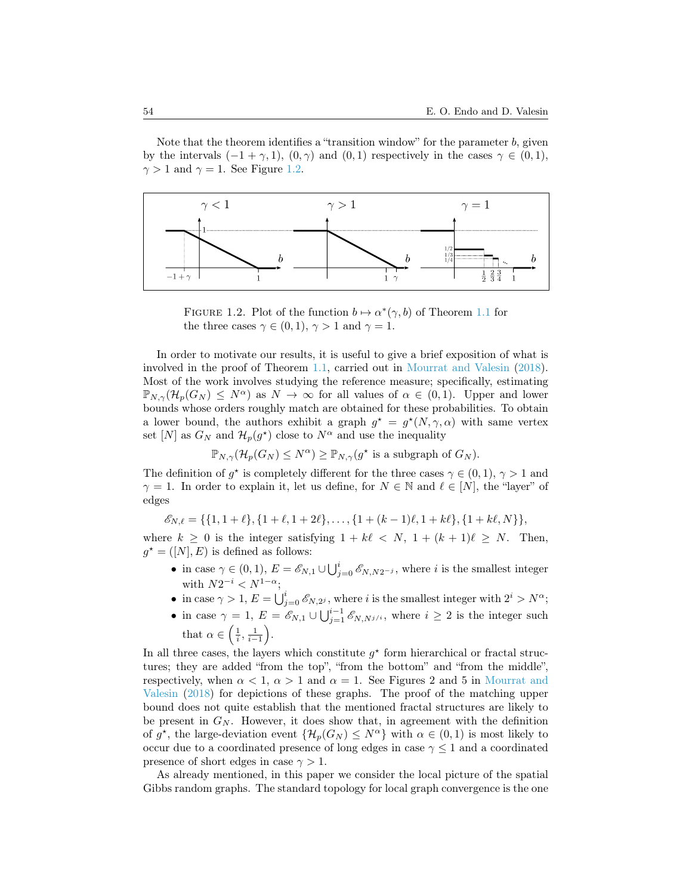Note that the theorem identifies a "transition window" for the parameter  $b$ , given by the intervals  $(-1 + \gamma, 1)$ ,  $(0, \gamma)$  and  $(0, 1)$  respectively in the cases  $\gamma \in (0, 1)$ ,  $\gamma > 1$  and  $\gamma = 1$ . See Figure [1.2.](#page-3-0)



<span id="page-3-0"></span>FIGURE 1.2. Plot of the function  $b \mapsto \alpha^*(\gamma, b)$  of Theorem [1.1](#page-2-0) for the three cases  $\gamma \in (0,1)$ ,  $\gamma > 1$  and  $\gamma = 1$ .

In order to motivate our results, it is useful to give a brief exposition of what is involved in the proof of Theorem [1.1,](#page-2-0) carried out in [Mourrat and Valesin](#page-12-0) [\(2018\)](#page-12-0). Most of the work involves studying the reference measure; specifically, estimating  $\mathbb{P}_{N,\gamma}(\mathcal{H}_p(G_N) \leq N^{\alpha})$  as  $N \to \infty$  for all values of  $\alpha \in (0,1)$ . Upper and lower bounds whose orders roughly match are obtained for these probabilities. To obtain a lower bound, the authors exhibit a graph  $g^* = g^*(N, \gamma, \alpha)$  with same vertex set [N] as  $G_N$  and  $\mathcal{H}_p(g^*)$  close to  $N^{\alpha}$  and use the inequality

$$
\mathbb{P}_{N,\gamma}(\mathcal{H}_p(G_N)\leq N^{\alpha})\geq \mathbb{P}_{N,\gamma}(g^{\star} \text{ is a subgraph of } G_N).
$$

The definition of  $g^*$  is completely different for the three cases  $\gamma \in (0,1)$ ,  $\gamma > 1$  and  $\gamma = 1$ . In order to explain it, let us define, for  $N \in \mathbb{N}$  and  $\ell \in [N]$ , the "layer" of edges

 $\mathscr{E}_{N,\ell} = \{\{1, 1 + \ell\}, \{1 + \ell, 1 + 2\ell\}, \ldots, \{1 + (k - 1)\ell, 1 + k\ell\}, \{1 + k\ell, N\}\},\$ 

where  $k \geq 0$  is the integer satisfying  $1 + k\ell < N$ ,  $1 + (k + 1)\ell \geq N$ . Then,  $g^* = ([N], E)$  is defined as follows:

- in case  $\gamma \in (0,1), E = \mathscr{E}_{N,1} \cup \bigcup_{j=0}^{i} \mathscr{E}_{N,N2^{-j}},$  where i is the smallest integer with  $N2^{-i} < N^{1-\alpha}$ ;
- in case  $\gamma > 1$ ,  $E = \bigcup_{j=0}^{i} \mathscr{E}_{N,2^j}$ , where i is the smallest integer with  $2^i > N^{\alpha}$ ;
- in case  $\gamma = 1, E = \mathscr{E}_{N,1} \cup \bigcup_{j=1}^{i-1} \mathscr{E}_{N,N^{j/i}},$  where  $i \geq 2$  is the integer such that  $\alpha \in \left(\frac{1}{i}, \frac{1}{i-1}\right)$ .

In all three cases, the layers which constitute  $g^*$  form hierarchical or fractal structures; they are added "from the top", "from the bottom" and "from the middle", respectively, when  $\alpha < 1$ ,  $\alpha > 1$  and  $\alpha = 1$ . See Figures 2 and 5 in [Mourrat and](#page-12-0) [Valesin](#page-12-0) [\(2018\)](#page-12-0) for depictions of these graphs. The proof of the matching upper bound does not quite establish that the mentioned fractal structures are likely to be present in  $G_N$ . However, it does show that, in agreement with the definition of  $g^*$ , the large-deviation event  $\{\mathcal{H}_p(G_N)\leq N^{\alpha}\}\$  with  $\alpha\in(0,1)$  is most likely to occur due to a coordinated presence of long edges in case  $\gamma \leq 1$  and a coordinated presence of short edges in case  $\gamma > 1$ .

As already mentioned, in this paper we consider the local picture of the spatial Gibbs random graphs. The standard topology for local graph convergence is the one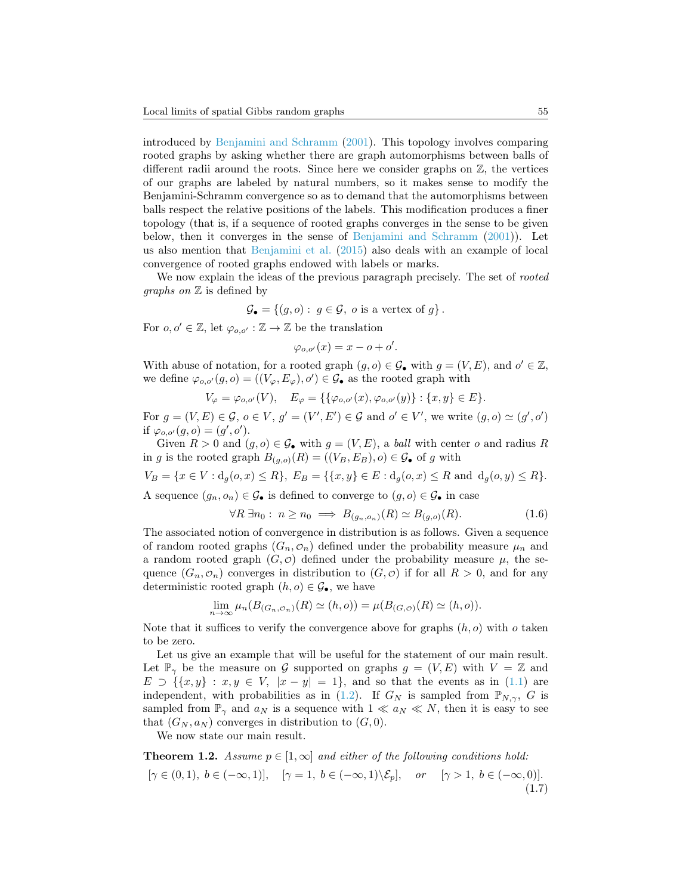introduced by [Benjamini and Schramm](#page-11-0) [\(2001\)](#page-11-0). This topology involves comparing rooted graphs by asking whether there are graph automorphisms between balls of different radii around the roots. Since here we consider graphs on  $\mathbb{Z}$ , the vertices of our graphs are labeled by natural numbers, so it makes sense to modify the Benjamini-Schramm convergence so as to demand that the automorphisms between balls respect the relative positions of the labels. This modification produces a finer topology (that is, if a sequence of rooted graphs converges in the sense to be given below, then it converges in the sense of [Benjamini and Schramm](#page-11-0) [\(2001\)](#page-11-0)). Let us also mention that [Benjamini et al.](#page-11-1) [\(2015\)](#page-11-1) also deals with an example of local convergence of rooted graphs endowed with labels or marks.

We now explain the ideas of the previous paragraph precisely. The set of *rooted graphs on*  $\mathbb Z$  is defined by

$$
\mathcal{G}_{\bullet} = \{ (g, o) : g \in \mathcal{G}, o \text{ is a vertex of } g \}.
$$

For  $o, o' \in \mathbb{Z}$ , let  $\varphi_{o, o'} : \mathbb{Z} \to \mathbb{Z}$  be the translation

$$
\varphi_{o,o'}(x) = x - o + o'.
$$

With abuse of notation, for a rooted graph  $(g, o) \in \mathcal{G}_{\bullet}$  with  $g = (V, E)$ , and  $o' \in \mathbb{Z}$ , we define  $\varphi_{o,o'}(g, o) = ((V_{\varphi}, E_{\varphi}), o') \in \mathcal{G}_{\bullet}$  as the rooted graph with

$$
V_{\varphi} = \varphi_{o,o'}(V), \quad E_{\varphi} = \{ \{ \varphi_{o,o'}(x), \varphi_{o,o'}(y) \} : \{x, y\} \in E \}.
$$

For  $g = (V, E) \in \mathcal{G}, o \in V, g' = (V', E') \in \mathcal{G}$  and  $o' \in V'$ , we write  $(g, o) \simeq (g', o')$ if  $\varphi_{o,o'}(g,o) = (g', o').$ 

Given  $R > 0$  and  $(g, o) \in \mathcal{G}_{\bullet}$  with  $g = (V, E)$ , a *ball* with center o and radius R in g is the rooted graph  $B_{(q,o)}(R) = ((V_B, E_B), o) \in \mathcal{G}_{\bullet}$  of g with

 $V_B = \{x \in V : d_q(o, x) \le R\}, E_B = \{\{x, y\} \in E : d_q(o, x) \le R \text{ and } d_q(o, y) \le R\}.$ 

A sequence  $(g_n, o_n) \in \mathcal{G}_\bullet$  is defined to converge to  $(g, o) \in \mathcal{G}_\bullet$  in case

$$
\forall R \,\exists n_0: n \ge n_0 \implies B_{(g_n, o_n)}(R) \simeq B_{(g,o)}(R). \tag{1.6}
$$

The associated notion of convergence in distribution is as follows. Given a sequence of random rooted graphs  $(G_n, o_n)$  defined under the probability measure  $\mu_n$  and a random rooted graph  $(G, \mathcal{O})$  defined under the probability measure  $\mu$ , the sequence  $(G_n, \mathcal{O}_n)$  converges in distribution to  $(G, \mathcal{O})$  if for all  $R > 0$ , and for any deterministic rooted graph  $(h, o) \in \mathcal{G}_{\bullet}$ , we have

$$
\lim_{n \to \infty} \mu_n(B_{(G_n, \mathcal{O}_n)}(R) \simeq (h, o)) = \mu(B_{(G, \mathcal{O})}(R) \simeq (h, o)).
$$

Note that it suffices to verify the convergence above for graphs  $(h, o)$  with  $o$  taken to be zero.

Let us give an example that will be useful for the statement of our main result. Let  $\mathbb{P}_{\gamma}$  be the measure on G supported on graphs  $g = (V, E)$  with  $V = \mathbb{Z}$  and  $E \supset \{\{x, y\} : x, y \in V, |x - y| = 1\},\$ and so that the events as in [\(1.1\)](#page-1-0) are independent, with probabilities as in [\(1.2\)](#page-1-1). If  $G_N$  is sampled from  $\mathbb{P}_{N,\gamma}$ , G is sampled from  $\mathbb{P}_{\gamma}$  and  $a_N$  is a sequence with  $1 \ll a_N \ll N$ , then it is easy to see that  $(G_N, a_N)$  converges in distribution to  $(G, 0)$ .

We now state our main result.

<span id="page-4-1"></span><span id="page-4-0"></span>**Theorem 1.2.** Assume  $p \in [1, \infty]$  and either of the following conditions hold:  $[\gamma \in (0,1), b \in (-\infty,1)], \quad [\gamma = 1, b \in (-\infty,1) \setminus \mathcal{E}_p], \quad or \quad [\gamma > 1, b \in (-\infty,0)].$ (1.7)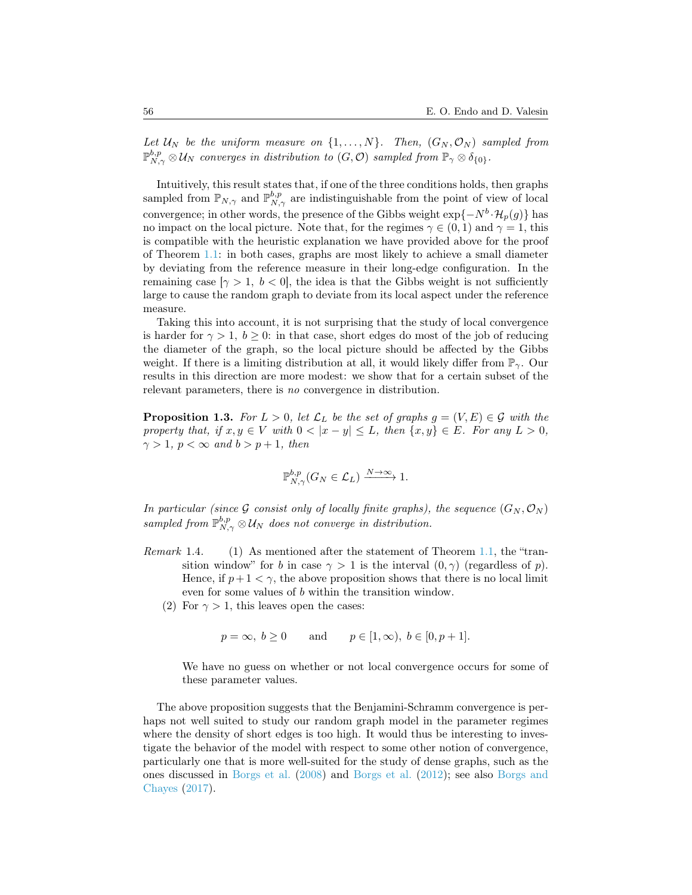Let  $\mathcal{U}_N$  be the uniform measure on  $\{1, \ldots, N\}$ . Then,  $(G_N, \mathcal{O}_N)$  sampled from  $\mathbb{P}_{N,\gamma}^{b,p}\otimes\mathcal{U}_N$  converges in distribution to  $(G,\mathcal{O})$  sampled from  $\mathbb{P}_\gamma\otimes\delta_{\{0\}}$ .

Intuitively, this result states that, if one of the three conditions holds, then graphs sampled from  $\mathbb{P}_{N,\gamma}$  and  $\mathbb{P}_{N,\gamma}^{b,p}$  are indistinguishable from the point of view of local convergence; in other words, the presence of the Gibbs weight  $\exp\{-N^b \cdot \mathcal{H}_p(g)\}\$  has no impact on the local picture. Note that, for the regimes  $\gamma \in (0,1)$  and  $\gamma = 1$ , this is compatible with the heuristic explanation we have provided above for the proof of Theorem [1.1:](#page-2-0) in both cases, graphs are most likely to achieve a small diameter by deviating from the reference measure in their long-edge configuration. In the remaining case  $[\gamma > 1, b < 0]$ , the idea is that the Gibbs weight is not sufficiently large to cause the random graph to deviate from its local aspect under the reference measure.

Taking this into account, it is not surprising that the study of local convergence is harder for  $\gamma > 1$ ,  $b \ge 0$ : in that case, short edges do most of the job of reducing the diameter of the graph, so the local picture should be affected by the Gibbs weight. If there is a limiting distribution at all, it would likely differ from  $\mathbb{P}_{\gamma}$ . Our results in this direction are more modest: we show that for a certain subset of the relevant parameters, there is no convergence in distribution.

<span id="page-5-0"></span>**Proposition 1.3.** For  $L > 0$ , let  $\mathcal{L}_L$  be the set of graphs  $g = (V, E) \in \mathcal{G}$  with the property that, if  $x, y \in V$  with  $0 < |x - y| \leq L$ , then  $\{x, y\} \in E$ . For any  $L > 0$ ,  $\gamma > 1$ ,  $p < \infty$  and  $b > p + 1$ , then

$$
\mathbb{P}_{N,\gamma}^{b,p}(G_N \in \mathcal{L}_L) \xrightarrow{N \to \infty} 1.
$$

In particular (since G consist only of locally finite graphs), the sequence  $(G_N, \mathcal{O}_N)$ sampled from  $\mathbb{P}_{N,\gamma}^{b,p}\otimes\mathcal{U}_N$  does not converge in distribution.

- Remark 1.4. (1) As mentioned after the statement of Theorem [1.1,](#page-2-0) the "transition window" for b in case  $\gamma > 1$  is the interval  $(0, \gamma)$  (regardless of p). Hence, if  $p+1 < \gamma$ , the above proposition shows that there is no local limit even for some values of b within the transition window.
	- (2) For  $\gamma > 1$ , this leaves open the cases:

$$
p = \infty, b \ge 0
$$
 and  $p \in [1, \infty), b \in [0, p+1].$ 

We have no guess on whether or not local convergence occurs for some of these parameter values.

The above proposition suggests that the Benjamini-Schramm convergence is perhaps not well suited to study our random graph model in the parameter regimes where the density of short edges is too high. It would thus be interesting to investigate the behavior of the model with respect to some other notion of convergence, particularly one that is more well-suited for the study of dense graphs, such as the ones discussed in [Borgs et al.](#page-12-1) [\(2008\)](#page-12-1) and [Borgs et al.](#page-12-2) [\(2012\)](#page-12-2); see also [Borgs and](#page-12-3) [Chayes](#page-12-3) [\(2017\)](#page-12-3).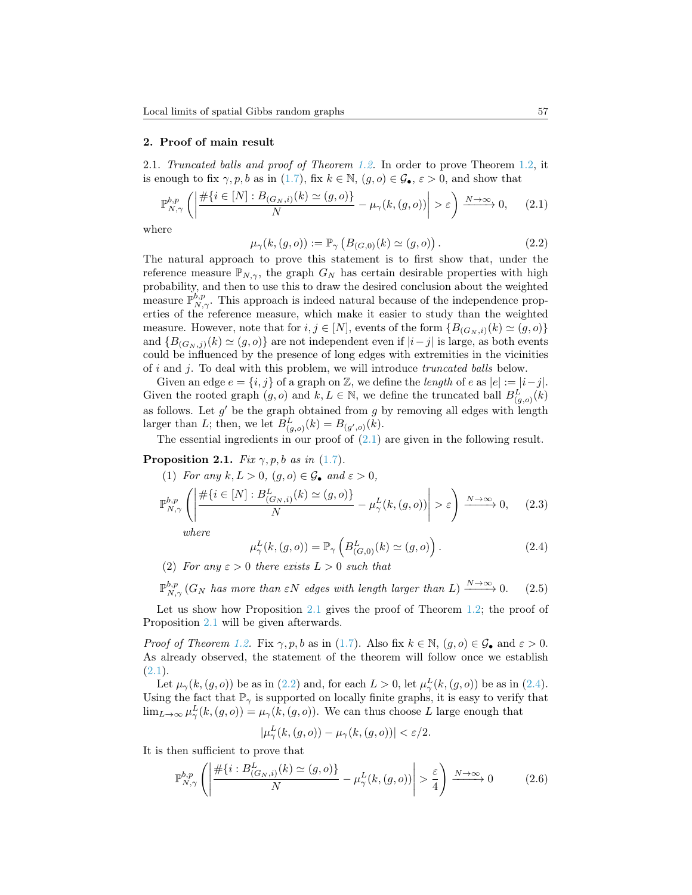#### 2. Proof of main result

2.1. Truncated balls and proof of Theorem [1.2.](#page-4-0) In order to prove Theorem [1.2,](#page-4-0) it is enough to fix  $\gamma, p, b$  as in [\(1.7\)](#page-4-1), fix  $k \in \mathbb{N}$ ,  $(g, o) \in \mathcal{G}_{\bullet}$ ,  $\varepsilon > 0$ , and show that

<span id="page-6-0"></span>
$$
\mathbb{P}_{N,\gamma}^{b,p} \left( \left| \frac{\#\{i \in [N] : B_{(G_N,i)}(k) \simeq (g,o)\}}{N} - \mu_\gamma(k,(g,o)) \right| > \varepsilon \right) \xrightarrow{N \to \infty} 0, \tag{2.1}
$$

where

<span id="page-6-2"></span>
$$
\mu_{\gamma}(k,(g,o)) := \mathbb{P}_{\gamma} \left( B_{(G,0)}(k) \simeq (g,o) \right). \tag{2.2}
$$

The natural approach to prove this statement is to first show that, under the reference measure  $\mathbb{P}_{N,\gamma}$ , the graph  $G_N$  has certain desirable properties with high probability, and then to use this to draw the desired conclusion about the weighted measure  $\mathbb{P}_{N,\gamma}^{b,p}$ . This approach is indeed natural because of the independence properties of the reference measure, which make it easier to study than the weighted measure. However, note that for  $i, j \in [N]$ , events of the form  $\{B_{(G_N, i)}(k) \simeq (g, o)\}$ and  ${B_{(G_N, j)}(k) \simeq (g, o)}$  are not independent even if  $|i-j|$  is large, as both events could be influenced by the presence of long edges with extremities in the vicinities of i and j. To deal with this problem, we will introduce truncated balls below.

Given an edge  $e = \{i, j\}$  of a graph on  $\mathbb{Z}$ , we define the *length* of e as  $|e| := |i - j|$ . Given the rooted graph  $(g, o)$  and  $k, L \in \mathbb{N}$ , we define the truncated ball  $B_{(g, o)}^{L}(k)$ as follows. Let  $g'$  be the graph obtained from  $g$  by removing all edges with length larger than L; then, we let  $B_{(g,o)}^L(k) = B_{(g',o)}(k)$ .

The essential ingredients in our proof of  $(2.1)$  are given in the following result.

## <span id="page-6-1"></span>**Proposition 2.1.** Fix  $\gamma, p, b$  as in [\(1.7\)](#page-4-1).

<span id="page-6-5"></span>(1) For any 
$$
k, L > 0
$$
,  $(g, o) \in \mathcal{G}_{\bullet}$  and  $\varepsilon > 0$ ,  
\n
$$
\mathbb{P}_{N,\gamma}^{b,p} \left( \left| \frac{\# \{ i \in [N] : B_{(G_N,i)}^L(k) \simeq (g, o) \}}{N} - \mu_{\gamma}^L(k, (g, o)) \right| > \varepsilon \right) \xrightarrow{N \to \infty} 0, \quad (2.3)
$$
\nwhere

where

<span id="page-6-3"></span>
$$
\mu_{\gamma}^{L}(k,(g,o)) = \mathbb{P}_{\gamma}\left(B_{(G,0)}^{L}(k) \simeq (g,o)\right). \tag{2.4}
$$

(2) For any  $\varepsilon > 0$  there exists  $L > 0$  such that

<span id="page-6-6"></span> $\mathbb{P}_{N,\gamma}^{b,p}\left(G_{N} \text{ has more than }\varepsilon N \text{ edges with length larger than } L\right) \xrightarrow{N\to\infty} 0.$  (2.5)

Let us show how Proposition [2.1](#page-6-1) gives the proof of Theorem [1.2;](#page-4-0) the proof of Proposition [2.1](#page-6-1) will be given afterwards.

*Proof of Theorem [1.2.](#page-4-0)* Fix  $\gamma, p, b$  as in [\(1.7\)](#page-4-1). Also fix  $k \in \mathbb{N}$ ,  $(g, o) \in \mathcal{G}_{\bullet}$  and  $\varepsilon > 0$ . As already observed, the statement of the theorem will follow once we establish  $(2.1).$  $(2.1).$ 

Let  $\mu_{\gamma}(k,(g,o))$  be as in [\(2.2\)](#page-6-2) and, for each  $L > 0$ , let  $\mu_{\gamma}^{L}(k,(g,o))$  be as in [\(2.4\)](#page-6-3). Using the fact that  $\mathbb{P}_{\gamma}$  is supported on locally finite graphs, it is easy to verify that  $\lim_{L\to\infty}\mu_{\gamma}^{L}(k,(g,o))=\mu_{\gamma}(k,(g,o)).$  We can thus choose L large enough that

$$
|\mu_{\gamma}^{L}(k,(g,o)) - \mu_{\gamma}(k,(g,o))| < \varepsilon/2.
$$

It is then sufficient to prove that

<span id="page-6-4"></span>
$$
\mathbb{P}_{N,\gamma}^{b,p} \left( \left| \frac{\# \{ i : B^L_{(G_N,i)}(k) \simeq (g,o) \}}{N} - \mu_\gamma^L(k,(g,o)) \right| > \frac{\varepsilon}{4} \right) \xrightarrow{N \to \infty} 0 \tag{2.6}
$$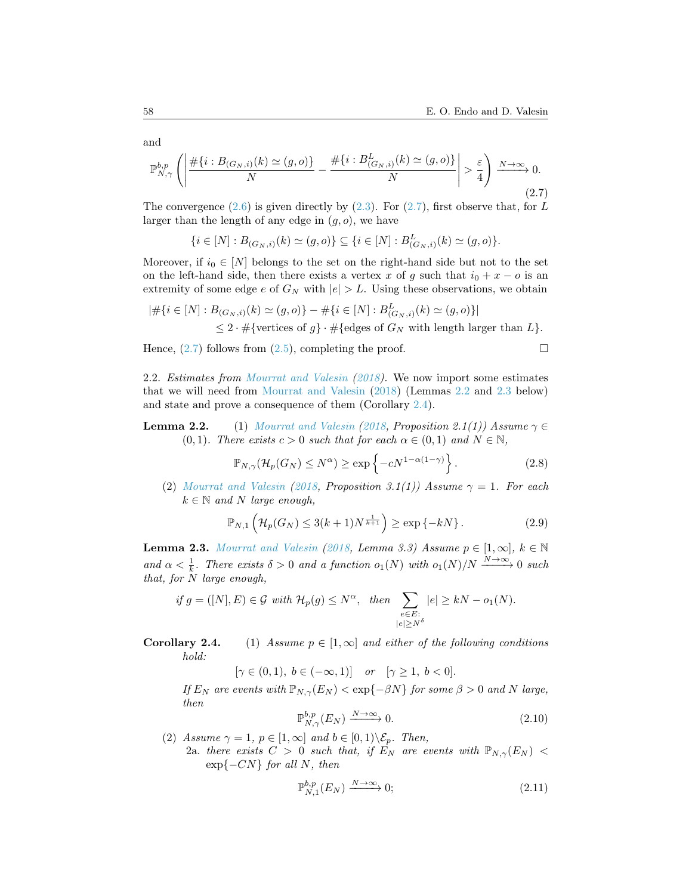<span id="page-7-0"></span>
$$
\mathbb{P}_{N,\gamma}^{b,p} \left( \left| \frac{\#\{i : B_{(G_N,i)}(k) \simeq (g,o)\}}{N} - \frac{\#\{i : B^L_{(G_N,i)}(k) \simeq (g,o)\}}{N} \right| > \frac{\varepsilon}{4} \right) \xrightarrow{N \to \infty} 0. \tag{2.7}
$$

The convergence  $(2.6)$  is given directly by  $(2.3)$ . For  $(2.7)$ , first observe that, for L larger than the length of any edge in  $(q, o)$ , we have

$$
\{i \in [N] : B_{(G_N,i)}(k) \simeq (g,o)\} \subseteq \{i \in [N] : B_{(G_N,i)}^L(k) \simeq (g,o)\}.
$$

Moreover, if  $i_0 \in [N]$  belongs to the set on the right-hand side but not to the set on the left-hand side, then there exists a vertex x of g such that  $i_0 + x - o$  is an extremity of some edge e of  $G_N$  with  $|e| > L$ . Using these observations, we obtain

$$
|\# \{ i \in [N] : B_{(G_N,i)}(k) \simeq (g,o) \} - \# \{ i \in [N] : B_{(G_N,i)}^L(k) \simeq (g,o) \} |
$$
  
 
$$
\leq 2 \cdot \# \{ \text{vertices of } g \} \cdot \# \{ \text{edges of } G_N \text{ with length larger than } L \}.
$$

Hence,  $(2.7)$  follows from  $(2.5)$ , completing the proof.

2.2. Estimates from [Mourrat and Valesin](#page-12-0) [\(2018\)](#page-12-0). We now import some estimates that we will need from [Mourrat and Valesin](#page-12-0) [\(2018\)](#page-12-0) (Lemmas [2.2](#page-0-0) and [2.3](#page-7-1) below) and state and prove a consequence of them (Corollary [2.4\)](#page-0-0).

**Lemma 2.2.** (1) [Mourrat and Valesin](#page-12-0) [\(2018,](#page-12-0) Proposition 2.1(1)) Assume  $\gamma \in$  $(0, 1)$ . There exists  $c > 0$  such that for each  $\alpha \in (0, 1)$  and  $N \in \mathbb{N}$ ,

<span id="page-7-2"></span>
$$
\mathbb{P}_{N,\gamma}(\mathcal{H}_p(G_N) \le N^{\alpha}) \ge \exp\left\{-cN^{1-\alpha(1-\gamma)}\right\}.
$$
 (2.8)

(2) [Mourrat and Valesin](#page-12-0) [\(2018,](#page-12-0) Proposition 3.1(1)) Assume  $\gamma = 1$ . For each  $k \in \mathbb{N}$  and N large enough,

<span id="page-7-4"></span>
$$
\mathbb{P}_{N,1}\left(\mathcal{H}_p(G_N) \le 3(k+1)N^{\frac{1}{k+1}}\right) \ge \exp\left\{-kN\right\}.
$$
 (2.9)

<span id="page-7-1"></span>**Lemma 2.3.** [Mourrat and Valesin](#page-12-0) [\(2018,](#page-12-0) Lemma 3.3) Assume  $p \in [1, \infty]$ ,  $k \in \mathbb{N}$ and  $\alpha < \frac{1}{k}$ . There exists  $\delta > 0$  and a function  $o_1(N)$  with  $o_1(N)/N \xrightarrow{N \to \infty} 0$  such that, for  $\stackrel{\sim}{N}$  large enough,

if 
$$
g = ([N], E) \in \mathcal{G}
$$
 with  $\mathcal{H}_p(g) \le N^{\alpha}$ , then  $\sum_{\substack{e \in E:\\|e| \ge N^{\delta}}} |e| \ge kN - o_1(N)$ .

# **Corollary 2.4.** (1) Assume  $p \in [1,\infty]$  and either of the following conditions hold:

 $[\gamma \in (0, 1), b \in (-\infty, 1)]$  or  $[\gamma \ge 1, b < 0].$ 

If  $E_N$  are events with  $\mathbb{P}_{N,\gamma}(E_N) < \exp\{-\beta N\}$  for some  $\beta > 0$  and N large, then

<span id="page-7-3"></span>
$$
\mathbb{P}_{N,\gamma}^{b,p}(E_N) \xrightarrow{N \to \infty} 0. \tag{2.10}
$$

(2) Assume  $\gamma = 1$ ,  $p \in [1, \infty]$  and  $b \in [0, 1) \setminus \mathcal{E}_p$ . Then, 2a. there exists  $C > 0$  such that, if  $E_N$  are events with  $\mathbb{P}_{N,\gamma}(E_N)$  <  $\exp\{-CN\}$  for all N, then

<span id="page-7-5"></span>
$$
\mathbb{P}_{N,1}^{b,p}(E_N) \xrightarrow{N \to \infty} 0; \tag{2.11}
$$

and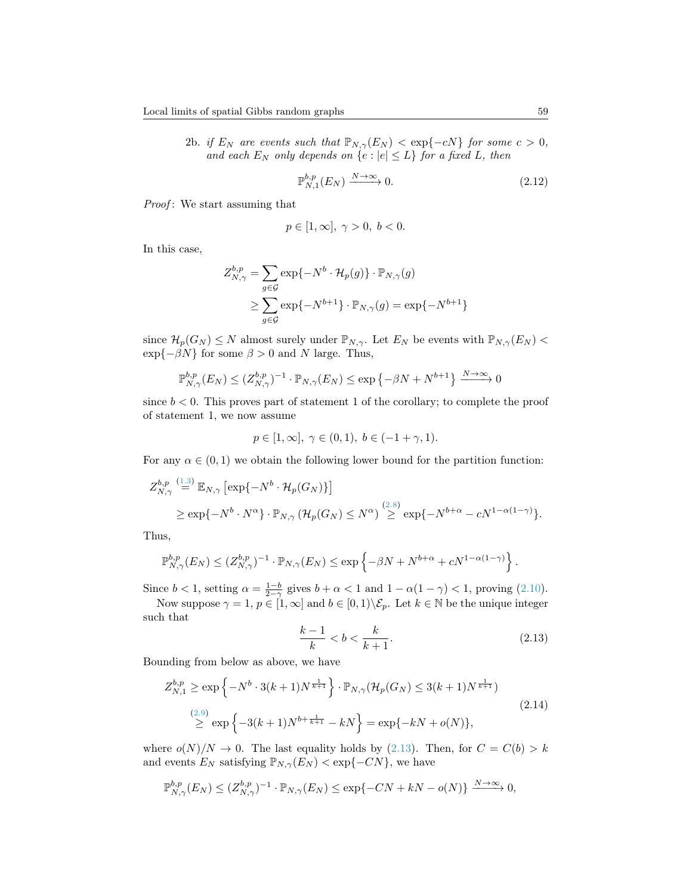2b. if  $E_N$  are events such that  $\mathbb{P}_{N,\gamma}(E_N) < \exp\{-cN\}$  for some  $c > 0$ , and each  $E_N$  only depends on  $\{e : |e| \leq L\}$  for a fixed L, then

<span id="page-8-1"></span>
$$
\mathbb{P}_{N,1}^{b,p}(E_N) \xrightarrow{N \to \infty} 0. \tag{2.12}
$$

Proof: We start assuming that

$$
p\in[1,\infty],\ \gamma>0,\ b<0.
$$

In this case,

$$
Z_{N,\gamma}^{b,p} = \sum_{g \in \mathcal{G}} \exp\{-N^b \cdot \mathcal{H}_p(g)\} \cdot \mathbb{P}_{N,\gamma}(g)
$$
  

$$
\geq \sum_{g \in \mathcal{G}} \exp\{-N^{b+1}\} \cdot \mathbb{P}_{N,\gamma}(g) = \exp\{-N^{b+1}\}
$$

since  $\mathcal{H}_p(G_N) \leq N$  almost surely under  $\mathbb{P}_{N,\gamma}$ . Let  $E_N$  be events with  $\mathbb{P}_{N,\gamma}(E_N)$  $\exp{-\beta N}$  for some  $\beta > 0$  and N large. Thus,

$$
\mathbb{P}_{N,\gamma}^{b,p}(E_N) \le (Z_{N,\gamma}^{b,p})^{-1} \cdot \mathbb{P}_{N,\gamma}(E_N) \le \exp\left\{-\beta N + N^{b+1}\right\} \xrightarrow{N \to \infty} 0
$$

since  $b < 0$ . This proves part of statement 1 of the corollary; to complete the proof of statement 1, we now assume

$$
p \in [1, \infty], \ \gamma \in (0, 1), \ b \in (-1 + \gamma, 1).
$$

For any  $\alpha \in (0,1)$  we obtain the following lower bound for the partition function:

$$
Z_{N,\gamma}^{b,p} \stackrel{(1.3)}{=} \mathbb{E}_{N,\gamma} \left[ \exp\{-N^b \cdot \mathcal{H}_p(G_N)\} \right]
$$
  
\n
$$
\geq \exp\{-N^b \cdot N^{\alpha}\} \cdot \mathbb{P}_{N,\gamma} \left( \mathcal{H}_p(G_N) \leq N^{\alpha} \right) \stackrel{(2.8)}{\geq} \exp\{-N^{b+\alpha} - cN^{1-\alpha(1-\gamma)}\}.
$$

Thus,

$$
\mathbb{P}_{N,\gamma}^{b,p}(E_N) \leq (Z_{N,\gamma}^{b,p})^{-1} \cdot \mathbb{P}_{N,\gamma}(E_N) \leq \exp\left\{-\beta N + N^{b+\alpha} + cN^{1-\alpha(1-\gamma)}\right\}.
$$

Since  $b < 1$ , setting  $\alpha = \frac{1-b}{2-\gamma}$  gives  $b + \alpha < 1$  and  $1 - \alpha(1-\gamma) < 1$ , proving [\(2.10\)](#page-7-3).

Now suppose  $\gamma = 1, p \in [1, \infty]$  and  $b \in [0, 1) \setminus \mathcal{E}_p$ . Let  $k \in \mathbb{N}$  be the unique integer such that

<span id="page-8-0"></span>
$$
\frac{k-1}{k} < b < \frac{k}{k+1}.\tag{2.13}
$$

Bounding from below as above, we have

<span id="page-8-2"></span>
$$
Z_{N,1}^{b,p} \ge \exp\left\{-N^b \cdot 3(k+1)N^{\frac{1}{k+1}}\right\} \cdot \mathbb{P}_{N,\gamma}(\mathcal{H}_p(G_N) \le 3(k+1)N^{\frac{1}{k+1}})
$$
  
\n
$$
\ge \exp\left\{-3(k+1)N^{b+\frac{1}{k+1}} - kN\right\} = \exp\{-kN + o(N)\},
$$
\n(2.14)

where  $o(N)/N \to 0$ . The last equality holds by [\(2.13\)](#page-8-0). Then, for  $C = C(b) > k$ and events  $E_N$  satisfying  $\mathbb{P}_{N,\gamma}(E_N) < \exp\{-CN\}$ , we have

$$
\mathbb{P}_{N,\gamma}^{b,p}(E_N) \le (Z_{N,\gamma}^{b,p})^{-1} \cdot \mathbb{P}_{N,\gamma}(E_N) \le \exp\{-CN + kN - o(N)\}\xrightarrow{N \to \infty} 0,
$$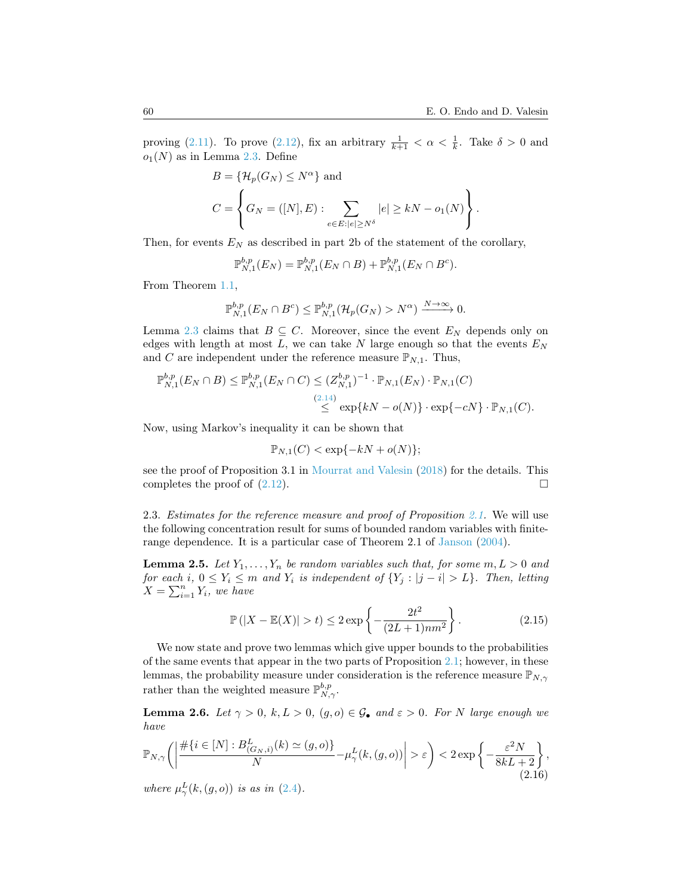proving [\(2.11\)](#page-7-5). To prove [\(2.12\)](#page-8-1), fix an arbitrary  $\frac{1}{k+1} < \alpha < \frac{1}{k}$ . Take  $\delta > 0$  and  $o_1(N)$  as in Lemma [2.3.](#page-7-1) Define

$$
B = \{\mathcal{H}_p(G_N) \le N^{\alpha}\} \text{ and}
$$
  

$$
C = \left\{G_N = ([N], E) : \sum_{e \in E : |e| \ge N^{\delta}} |e| \ge kN - o_1(N)\right\}.
$$

Then, for events  $E_N$  as described in part 2b of the statement of the corollary,

$$
\mathbb{P}_{N,1}^{b,p}(E_N) = \mathbb{P}_{N,1}^{b,p}(E_N \cap B) + \mathbb{P}_{N,1}^{b,p}(E_N \cap B^c).
$$

From Theorem [1.1,](#page-2-0)

$$
\mathbb{P}_{N,1}^{b,p}(E_N \cap B^c) \leq \mathbb{P}_{N,1}^{b,p}(\mathcal{H}_p(G_N) > N^{\alpha}) \xrightarrow{N \to \infty} 0.
$$

Lemma [2.3](#page-7-1) claims that  $B \subseteq C$ . Moreover, since the event  $E_N$  depends only on edges with length at most  $L$ , we can take N large enough so that the events  $E<sub>N</sub>$ and C are independent under the reference measure  $\mathbb{P}_{N,1}$ . Thus,

$$
\mathbb{P}_{N,1}^{b,p}(E_N \cap B) \le \mathbb{P}_{N,1}^{b,p}(E_N \cap C) \le (Z_{N,1}^{b,p})^{-1} \cdot \mathbb{P}_{N,1}(E_N) \cdot \mathbb{P}_{N,1}(C)
$$
\n
$$
\le \exp{kN - o(N)} \cdot \exp{-cN} \cdot \mathbb{P}_{N,1}(C).
$$

Now, using Markov's inequality it can be shown that

$$
\mathbb{P}_{N,1}(C) < \exp\{-kN + o(N)\};
$$

see the proof of Proposition 3.1 in [Mourrat and Valesin](#page-12-0) [\(2018\)](#page-12-0) for the details. This completes the proof of  $(2.12)$ .

2.3. Estimates for the reference measure and proof of Proposition [2.1.](#page-6-1) We will use the following concentration result for sums of bounded random variables with finiterange dependence. It is a particular case of Theorem 2.1 of [Janson](#page-12-4) [\(2004\)](#page-12-4).

<span id="page-9-0"></span>**Lemma 2.5.** Let  $Y_1, \ldots, Y_n$  be random variables such that, for some  $m, L > 0$  and for each i,  $0 \le Y_i \le m$  and  $Y_i$  is independent of  $\{Y_j : |j - i| > L\}$ . Then, letting  $X = \sum_{i=1}^{n} Y_i$ , we have

$$
\mathbb{P}(|X - \mathbb{E}(X)| > t) \le 2 \exp\left\{-\frac{2t^2}{(2L+1)nm^2}\right\}.
$$
 (2.15)

We now state and prove two lemmas which give upper bounds to the probabilities of the same events that appear in the two parts of Proposition [2.1;](#page-6-1) however, in these lemmas, the probability measure under consideration is the reference measure  $\mathbb{P}_{N,\gamma}$ rather than the weighted measure  $\mathbb{P}_{N,\gamma}^{b,p}$ .

<span id="page-9-1"></span>**Lemma 2.6.** Let  $\gamma > 0$ ,  $k, L > 0$ ,  $(g, o) \in \mathcal{G}_{\bullet}$  and  $\varepsilon > 0$ . For N large enough we have

$$
\mathbb{P}_{N,\gamma}\bigg(\bigg|\frac{\#\{i\in[N]:B^L_{(G_N,i)}(k)\simeq(g,o)\}}{N}-\mu^L_\gamma(k,(g,o))\bigg|>\varepsilon\bigg)<2\exp\bigg\{-\frac{\varepsilon^2N}{8kL+2}\bigg\},\tag{2.16}
$$

where  $\mu^L_\gamma(k,(g,o))$  is as in [\(2.4\)](#page-6-3).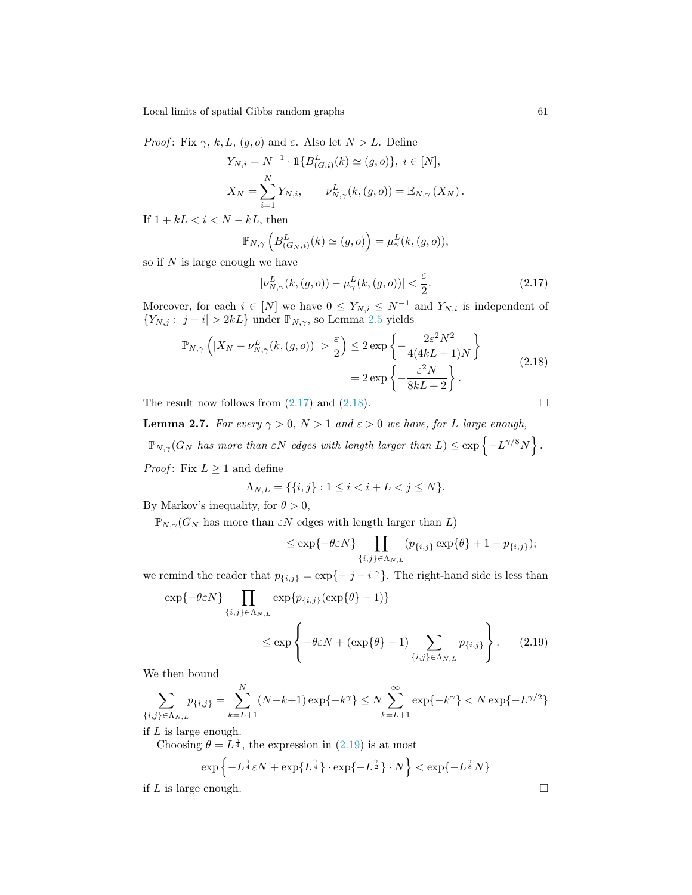*Proof*: Fix  $\gamma$ , k, L,  $(g, o)$  and  $\varepsilon$ . Also let  $N > L$ . Define

$$
Y_{N,i} = N^{-1} \cdot \mathbb{1} \{ B^L_{(G,i)}(k) \simeq (g, o) \}, \ i \in [N],
$$
  

$$
X_N = \sum_{i=1}^N Y_{N,i}, \qquad \nu^L_{N,\gamma}(k, (g, o)) = \mathbb{E}_{N,\gamma}(X_N).
$$

If  $1 + kL < i < N - kL$ , then

$$
\mathbb{P}_{N,\gamma}\left(B^L_{(G_N,i)}(k)\simeq(g,o)\right)=\mu^L_\gamma(k,(g,o)),
$$

so if  $N$  is large enough we have

<span id="page-10-0"></span>
$$
|\nu_{N,\gamma}^L(k,(g,o)) - \mu_{\gamma}^L(k,(g,o))| < \frac{\varepsilon}{2}.\tag{2.17}
$$

Moreover, for each  $i \in [N]$  we have  $0 \le Y_{N,i} \le N^{-1}$  and  $Y_{N,i}$  is independent of  $\{Y_{N,j}: |j-i|>2kL\}$ under $\mathbb{P}_{N,\gamma},$ so Lemma $2.5$  yields

<span id="page-10-1"></span>
$$
\mathbb{P}_{N,\gamma}\left(|X_N - \nu_{N,\gamma}^L(k,(g,o))| > \frac{\varepsilon}{2}\right) \le 2 \exp\left\{-\frac{2\varepsilon^2 N^2}{4(4kL+1)N}\right\}
$$
\n
$$
= 2 \exp\left\{-\frac{\varepsilon^2 N}{8kL+2}\right\}.
$$
\n(2.18)

The result now follows from  $(2.17)$  and  $(2.18)$ .

<span id="page-10-3"></span>**Lemma 2.7.** For every  $\gamma > 0$ ,  $N > 1$  and  $\varepsilon > 0$  we have, for L large enough,  $\mathbb{P}_{N,\gamma}(G_N$  has more than  $\varepsilon N$  edges with length larger than  $L) \leq \exp\left\{-L^{\gamma/8}N\right\}$ . *Proof*: Fix  $L \geq 1$  and define

$$
\Lambda_{N,L} = \{ \{i, j\} : 1 \le i < i + L < j \le N \}.
$$

By Markov's inequality, for  $\theta > 0$ ,

 $\mathbb{P}_{N,\gamma}(G_N)$  has more than  $\varepsilon N$  edges with length larger than  $L$ )

<span id="page-10-2"></span>
$$
\leq \exp\{-\theta \varepsilon N\} \prod_{\{i,j\} \in \Lambda_{N,L}} (p_{\{i,j\}} \exp\{\theta\} + 1 - p_{\{i,j\}});
$$

we remind the reader that  $p_{\{i,j\}} = \exp\{-|j - i|^{\gamma}\}\.$  The right-hand side is less than

$$
\exp\{-\theta \varepsilon N\} \prod_{\{i,j\} \in \Lambda_{N,L}} \exp\{p_{\{i,j\}}(\exp\{\theta\} - 1)\}
$$
  

$$
\leq \exp\left\{-\theta \varepsilon N + (\exp\{\theta\} - 1) \sum_{\{i,j\} \in \Lambda_{N,L}} p_{\{i,j\}}\right\}.
$$
 (2.19)

We then bound

$$
\sum_{\{i,j\}\in\Lambda_{N,L}} p_{\{i,j\}} = \sum_{k=L+1}^{N} (N-k+1) \exp\{-k^{\gamma}\} \le N \sum_{k=L+1}^{\infty} \exp\{-k^{\gamma}\} < N \exp\{-L^{\gamma/2}\}
$$

if L is large enough.

Choosing  $\theta = L^{\frac{\gamma}{4}}$ , the expression in [\(2.19\)](#page-10-2) is at most

$$
\exp\left\{-L^{\frac{\gamma}{4}}\varepsilon N + \exp\{L^{\frac{\gamma}{4}}\}\cdot \exp\{-L^{\frac{\gamma}{2}}\}\cdot N\right\} < \exp\{-L^{\frac{\gamma}{8}}N\}
$$

if L is large enough.  $\square$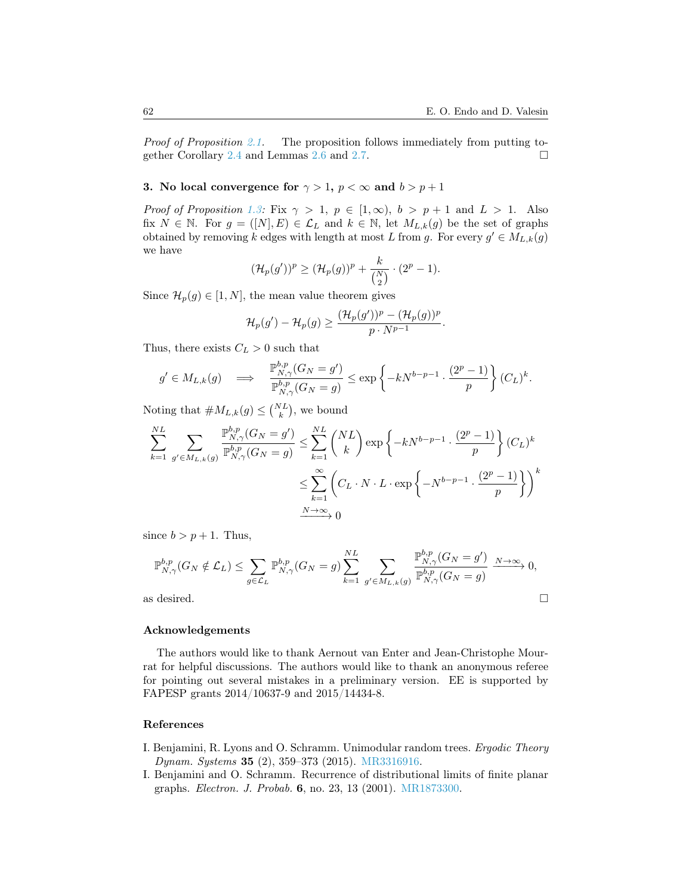*Proof of Proposition [2.1.](#page-6-1)* The proposition follows immediately from putting to-gether Corollary [2.4](#page-0-0) and Lemmas [2.6](#page-9-1) and [2.7.](#page-10-3)  $\Box$ 

# 3. No local convergence for  $\gamma > 1$ ,  $p < \infty$  and  $b > p + 1$

*Proof of Proposition [1.3:](#page-5-0)* Fix  $\gamma > 1$ ,  $p \in [1, \infty)$ ,  $b > p + 1$  and  $L > 1$ . Also fix  $N \in \mathbb{N}$ . For  $g = ([N], E) \in \mathcal{L}_L$  and  $k \in \mathbb{N}$ , let  $M_{L,k}(g)$  be the set of graphs obtained by removing k edges with length at most L from g. For every  $g' \in M_{L,k}(g)$ we have

$$
(\mathcal{H}_p(g'))^p \geq (\mathcal{H}_p(g))^p + \frac{k}{\binom{N}{2}} \cdot (2^p - 1).
$$

Since  $\mathcal{H}_p(g) \in [1, N]$ , the mean value theorem gives

$$
\mathcal{H}_p(g') - \mathcal{H}_p(g) \geq \frac{(\mathcal{H}_p(g'))^p - (\mathcal{H}_p(g))^p}{p \cdot N^{p-1}}.
$$

Thus, there exists  $C_L > 0$  such that

$$
g' \in M_{L,k}(g) \quad \Longrightarrow \quad \frac{\mathbb{P}_{N,\gamma}^{b,p}(G_N = g')}{\mathbb{P}_{N,\gamma}^{b,p}(G_N = g)} \le \exp\left\{-kN^{b-p-1} \cdot \frac{(2^p-1)}{p}\right\}(C_L)^k.
$$

Noting that  $\#M_{L,k}(g) \leq {N_L \choose k}$ , we bound

$$
\sum_{k=1}^{NL} \sum_{g' \in M_{L,k}(g)} \frac{\mathbb{P}_{N,\gamma}^{b,p}(G_N = g')}{\mathbb{P}_{N,\gamma}^{b,p}(G_N = g)} \le \sum_{k=1}^{NL} {NL \choose k} \exp\left\{-kN^{b-p-1} \cdot \frac{(2^p - 1)}{p}\right\} (C_L)^k
$$

$$
\le \sum_{k=1}^{\infty} {C_L \cdot N \cdot L \cdot \exp\left\{-N^{b-p-1} \cdot \frac{(2^p - 1)}{p}\right\}}^k
$$

$$
\frac{N \to \infty}{0}
$$

since  $b > p + 1$ . Thus,

$$
\mathbb{P}_{N,\gamma}^{b,p}(G_N \notin \mathcal{L}_L) \le \sum_{g \in \mathcal{L}_L} \mathbb{P}_{N,\gamma}^{b,p}(G_N = g) \sum_{k=1}^{NL} \sum_{g' \in M_{L,k}(g)} \frac{\mathbb{P}_{N,\gamma}^{b,p}(G_N = g')}{\mathbb{P}_{N,\gamma}^{b,p}(G_N = g)} \xrightarrow[N \to \infty]{} 0,
$$
 as desired.

## Acknowledgements

The authors would like to thank Aernout van Enter and Jean-Christophe Mourrat for helpful discussions. The authors would like to thank an anonymous referee for pointing out several mistakes in a preliminary version. EE is supported by FAPESP grants 2014/10637-9 and 2015/14434-8.

## References

- <span id="page-11-1"></span>I. Benjamini, R. Lyons and O. Schramm. Unimodular random trees. Ergodic Theory Dynam. Systems 35 (2), 359–373 (2015). [MR3316916.](http://www.ams.org/mathscinet-getitem?mr=MR3316916)
- <span id="page-11-0"></span>I. Benjamini and O. Schramm. Recurrence of distributional limits of finite planar graphs. Electron. J. Probab. 6, no. 23, 13 (2001). [MR1873300.](http://www.ams.org/mathscinet-getitem?mr=MR1873300)